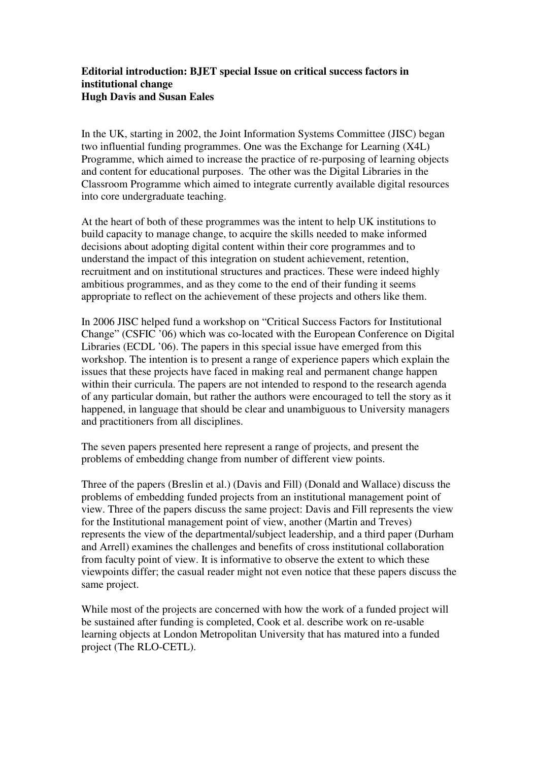## **Editorial introduction: BJET special Issue on critical success factors in institutional change Hugh Davis and Susan Eales**

In the UK, starting in 2002, the Joint Information Systems Committee (JISC) began two influential funding programmes. One was the Exchange for Learning (X4L) Programme, which aimed to increase the practice of re-purposing of learning objects and content for educational purposes. The other was the Digital Libraries in the Classroom Programme which aimed to integrate currently available digital resources into core undergraduate teaching.

At the heart of both of these programmes was the intent to help UK institutions to build capacity to manage change, to acquire the skills needed to make informed decisions about adopting digital content within their core programmes and to understand the impact of this integration on student achievement, retention, recruitment and on institutional structures and practices. These were indeed highly ambitious programmes, and as they come to the end of their funding it seems appropriate to reflect on the achievement of these projects and others like them.

In 2006 JISC helped fund a workshop on "Critical Success Factors for Institutional Change" (CSFIC '06) which was co-located with the European Conference on Digital Libraries (ECDL '06). The papers in this special issue have emerged from this workshop. The intention is to present a range of experience papers which explain the issues that these projects have faced in making real and permanent change happen within their curricula. The papers are not intended to respond to the research agenda of any particular domain, but rather the authors were encouraged to tell the story as it happened, in language that should be clear and unambiguous to University managers and practitioners from all disciplines.

The seven papers presented here represent a range of projects, and present the problems of embedding change from number of different view points.

Three of the papers (Breslin et al.) (Davis and Fill) (Donald and Wallace) discuss the problems of embedding funded projects from an institutional management point of view. Three of the papers discuss the same project: Davis and Fill represents the view for the Institutional management point of view, another (Martin and Treves) represents the view of the departmental/subject leadership, and a third paper (Durham and Arrell) examines the challenges and benefits of cross institutional collaboration from faculty point of view. It is informative to observe the extent to which these viewpoints differ; the casual reader might not even notice that these papers discuss the same project.

While most of the projects are concerned with how the work of a funded project will be sustained after funding is completed, Cook et al. describe work on re-usable learning objects at London Metropolitan University that has matured into a funded project (The RLO-CETL).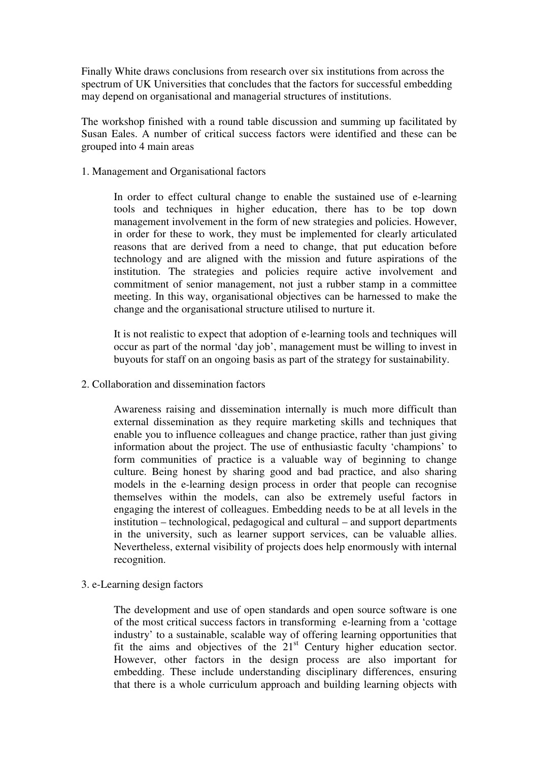Finally White draws conclusions from research over six institutions from across the spectrum of UK Universities that concludes that the factors for successful embedding may depend on organisational and managerial structures of institutions.

The workshop finished with a round table discussion and summing up facilitated by Susan Eales. A number of critical success factors were identified and these can be grouped into 4 main areas

1. Management and Organisational factors

In order to effect cultural change to enable the sustained use of e-learning tools and techniques in higher education, there has to be top down management involvement in the form of new strategies and policies. However, in order for these to work, they must be implemented for clearly articulated reasons that are derived from a need to change, that put education before technology and are aligned with the mission and future aspirations of the institution. The strategies and policies require active involvement and commitment of senior management, not just a rubber stamp in a committee meeting. In this way, organisational objectives can be harnessed to make the change and the organisational structure utilised to nurture it.

It is not realistic to expect that adoption of e-learning tools and techniques will occur as part of the normal 'day job', management must be willing to invest in buyouts for staff on an ongoing basis as part of the strategy for sustainability.

2. Collaboration and dissemination factors

Awareness raising and dissemination internally is much more difficult than external dissemination as they require marketing skills and techniques that enable you to influence colleagues and change practice, rather than just giving information about the project. The use of enthusiastic faculty 'champions' to form communities of practice is a valuable way of beginning to change culture. Being honest by sharing good and bad practice, and also sharing models in the e-learning design process in order that people can recognise themselves within the models, can also be extremely useful factors in engaging the interest of colleagues. Embedding needs to be at all levels in the institution – technological, pedagogical and cultural – and support departments in the university, such as learner support services, can be valuable allies. Nevertheless, external visibility of projects does help enormously with internal recognition.

3. e-Learning design factors

The development and use of open standards and open source software is one of the most critical success factors in transforming e-learning from a 'cottage industry' to a sustainable, scalable way of offering learning opportunities that fit the aims and objectives of the  $21<sup>st</sup>$  Century higher education sector. However, other factors in the design process are also important for embedding. These include understanding disciplinary differences, ensuring that there is a whole curriculum approach and building learning objects with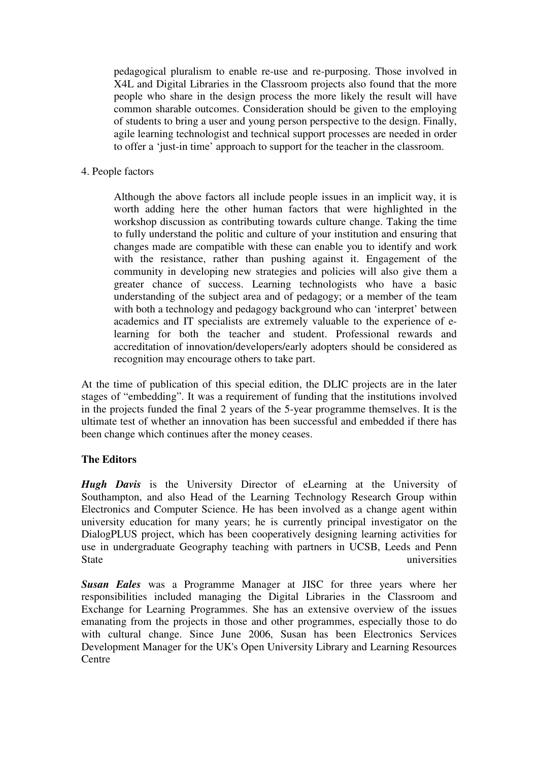pedagogical pluralism to enable re-use and re-purposing. Those involved in X4L and Digital Libraries in the Classroom projects also found that the more people who share in the design process the more likely the result will have common sharable outcomes. Consideration should be given to the employing of students to bring a user and young person perspective to the design. Finally, agile learning technologist and technical support processes are needed in order to offer a 'just-in time' approach to support for the teacher in the classroom.

4. People factors

Although the above factors all include people issues in an implicit way, it is worth adding here the other human factors that were highlighted in the workshop discussion as contributing towards culture change. Taking the time to fully understand the politic and culture of your institution and ensuring that changes made are compatible with these can enable you to identify and work with the resistance, rather than pushing against it. Engagement of the community in developing new strategies and policies will also give them a greater chance of success. Learning technologists who have a basic understanding of the subject area and of pedagogy; or a member of the team with both a technology and pedagogy background who can 'interpret' between academics and IT specialists are extremely valuable to the experience of elearning for both the teacher and student. Professional rewards and accreditation of innovation/developers/early adopters should be considered as recognition may encourage others to take part.

At the time of publication of this special edition, the DLIC projects are in the later stages of "embedding". It was a requirement of funding that the institutions involved in the projects funded the final 2 years of the 5-year programme themselves. It is the ultimate test of whether an innovation has been successful and embedded if there has been change which continues after the money ceases.

## **The Editors**

*Hugh Davis* is the University Director of eLearning at the University of Southampton, and also Head of the Learning Technology Research Group within Electronics and Computer Science. He has been involved as a change agent within university education for many years; he is currently principal investigator on the DialogPLUS project, which has been cooperatively designing learning activities for use in undergraduate Geography teaching with partners in UCSB, Leeds and Penn State universities

*Susan Eales* was a Programme Manager at JISC for three years where her responsibilities included managing the Digital Libraries in the Classroom and Exchange for Learning Programmes. She has an extensive overview of the issues emanating from the projects in those and other programmes, especially those to do with cultural change. Since June 2006, Susan has been Electronics Services Development Manager for the UK's Open University Library and Learning Resources **Centre**